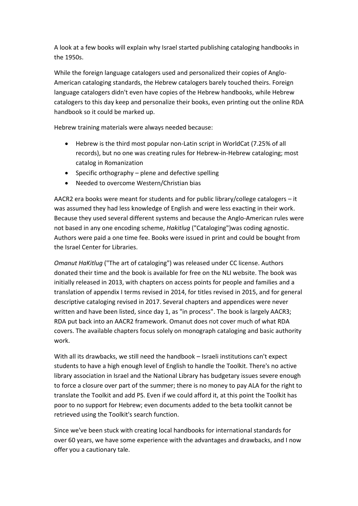A look at a few books will explain why Israel started publishing cataloging handbooks in the 1950s.

While the foreign language catalogers used and personalized their copies of Anglo-American cataloging standards, the Hebrew catalogers barely touched theirs. Foreign language catalogers didn't even have copies of the Hebrew handbooks, while Hebrew catalogers to this day keep and personalize their books, even printing out the online RDA handbook so it could be marked up.

Hebrew training materials were always needed because:

- Hebrew is the third most popular non-Latin script in WorldCat (7.25% of all records), but no one was creating rules for Hebrew-in-Hebrew cataloging; most catalog in Romanization
- $\bullet$  Specific orthography plene and defective spelling
- Needed to overcome Western/Christian bias

AACR2 era books were meant for students and for public library/college catalogers – it was assumed they had less knowledge of English and were less exacting in their work. Because they used several different systems and because the Anglo-American rules were not based in any one encoding scheme, *Hakitlug* ("Cataloging")was coding agnostic. Authors were paid a one time fee. Books were issued in print and could be bought from the Israel Center for Libraries.

*Omanut HaKitlug* ("The art of cataloging") was released under CC license. Authors donated their time and the book is available for free on the NLI website. The book was initially released in 2013, with chapters on access points for people and families and a translation of appendix I terms revised in 2014, for titles revised in 2015, and for general descriptive cataloging revised in 2017. Several chapters and appendices were never written and have been listed, since day 1, as "in process". The book is largely AACR3; RDA put back into an AACR2 framework. Omanut does not cover much of what RDA covers. The available chapters focus solely on monograph cataloging and basic authority work.

With all its drawbacks, we still need the handbook – Israeli institutions can't expect students to have a high enough level of English to handle the Toolkit. There's no active library association in Israel and the National Library has budgetary issues severe enough to force a closure over part of the summer; there is no money to pay ALA for the right to translate the Toolkit and add PS. Even if we could afford it, at this point the Toolkit has poor to no support for Hebrew; even documents added to the beta toolkit cannot be retrieved using the Toolkit's search function.

Since we've been stuck with creating local handbooks for international standards for over 60 years, we have some experience with the advantages and drawbacks, and I now offer you a cautionary tale.